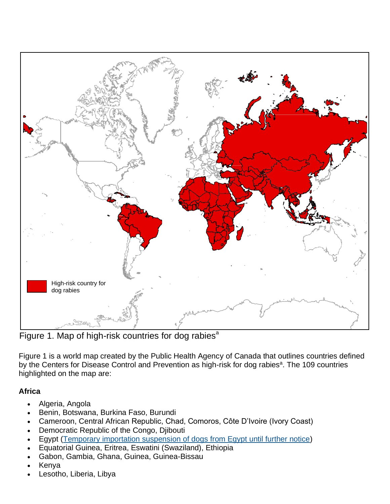

Figure 1. Map of high-risk countries for dog rabies<sup>a</sup>

Figure 1 is a world map created by the Public Health Agency of Canada that outlines countries defined by the Centers for Disease Control and Prevention as high-risk for dog rabies<sup>a</sup>. The 109 countries highlighted on the map are:

## **Africa**

- Algeria, Angola
- Benin, Botswana, Burkina Faso, Burundi
- Cameroon, Central African Republic, Chad, Comoros, Côte D'Ivoire (Ivory Coast)
- Democratic Republic of the Congo, Djibouti
- Egypt [\(Temporary importation suspension of dogs from Egypt until further notice\)](https://www.cdc.gov/importation/bringing-an-animal-into-the-united-states/Egypt-dogs-temp-suspension.html)
- Equatorial Guinea, Eritrea, Eswatini (Swaziland), Ethiopia
- Gabon, Gambia, Ghana, Guinea, Guinea-Bissau
- Kenya
- Lesotho, Liberia, Libya